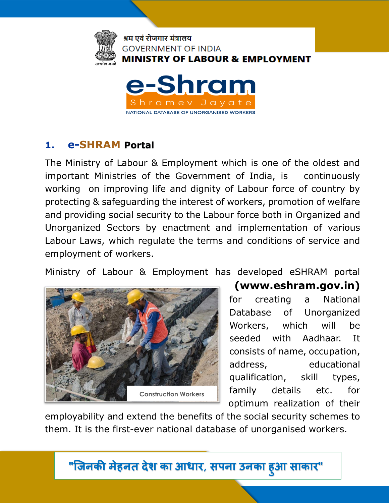

ramev Javat NATIONAL DATABASE OF UNORGANISED WORKERS



The Ministry of Labour & Employment which is one of the oldest and important Ministries of the Government of India, is continuously working on improving life and dignity of Labour force of country by protecting & safeguarding the interest of workers, promotion of welfare and providing social security to the Labour force both in Organized and Unorganized Sectors by enactment and implementation of various Labour Laws, which regulate the terms and conditions of service and employment of workers.

Ministry of Labour & Employment has developed eSHRAM portal



# **(www.eshram.gov.in)** for creating a National Database of Unorganized

Workers, which will be seeded with Aadhaar. It consists of name, occupation, address, educational qualification, skill types, family details etc. for optimum realization of their

employability and extend the benefits of the social security schemes to them. It is the first-ever national database of unorganised workers.

**"जिनकी मेहनत देश का आधार, सपना उनका ह ु आ साकार"**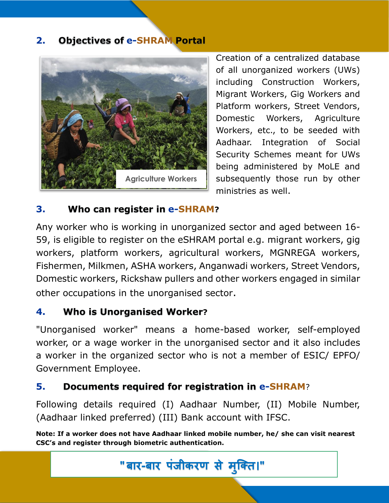#### **2. Objectives of e-SHRAM Portal**



Creation of a centralized database of all unorganized workers (UWs) including Construction Workers, Migrant Workers, Gig Workers and Platform workers, Street Vendors, Domestic Workers, Agriculture Workers, etc., to be seeded with Aadhaar. Integration of Social Security Schemes meant for UWs being administered by MoLE and subsequently those run by other ministries as well.

#### **3. Who can register in e-SHRAM?**

Any worker who is working in unorganized sector and aged between 16- 59, is eligible to register on the eSHRAM portal e.g. migrant workers, gig workers, platform workers, agricultural workers, MGNREGA workers, Fishermen, Milkmen, ASHA workers, Anganwadi workers, Street Vendors, Domestic workers, Rickshaw pullers and other workers engaged in similar other occupations in the unorganised sector.

## **4. Who is Unorganised Worker?**

"Unorganised worker" means a home-based worker, self-employed worker, or a wage worker in the unorganised sector and it also includes a worker in the organized sector who is not a member of ESIC/ EPFO/ Government Employee.

## **5. Documents required for registration in e-SHRAM**?

Following details required (I) Aadhaar Number, (II) Mobile Number, (Aadhaar linked preferred) (III) Bank account with IFSC.

**Note: If a worker does not have Aadhaar linked mobile number, he/ she can visit nearest CSC's and register through biometric authentication.**

**" बार-बार पंजीकरण से म ु क्ति।"**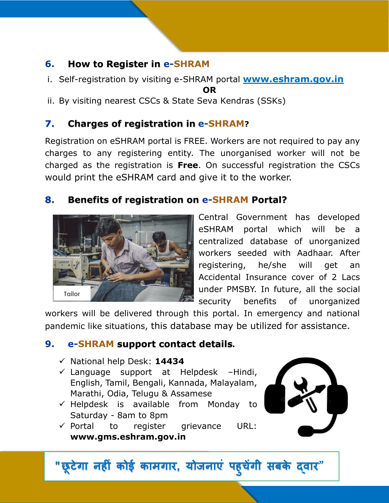#### **6. How to Register in e-SHRAM**

- i. Self-registration by visiting e-SHRAM portal **www.eshram.gov.in OR**
- ii. By visiting nearest CSCs & State Seva Kendras (SSKs)

# **7. Charges of registration in e-SHRAM?**

Registration on eSHRAM portal is FREE. Workers are not required to pay any charges to any registering entity. The unorganised worker will not be charged as the registration is **Free**. On successful registration the CSCs would print the eSHRAM card and give it to the worker.

## **8. Benefits of registration on e-SHRAM Portal?**



Central Government has developed eSHRAM portal which will be a centralized database of unorganized workers seeded with Aadhaar. After registering, he/she will get an Accidental Insurance cover of 2 Lacs under PMSBY. In future, all the social security benefits of unorganized

workers will be delivered through this portal. In emergency and national pandemic like situations, this database may be utilized for assistance.

## **9. e-SHRAM support contact details.**

- ✓ National help Desk: **14434**
- $\checkmark$  Language support at Helpdesk –Hindi, English, Tamil, Bengali, Kannada, Malayalam, Marathi, Odia, Telugu & Assamese
- $\checkmark$  Helpdesk is available from Monday to Saturday - 8am to 8pm
- ✓ Portal to register grievance URL: **www.gms.eshram.gov.in**



 **"छ ू टेगा नह ं कोई कामगार, योजनाएं पह ु चेंगी सबके द्वार**"